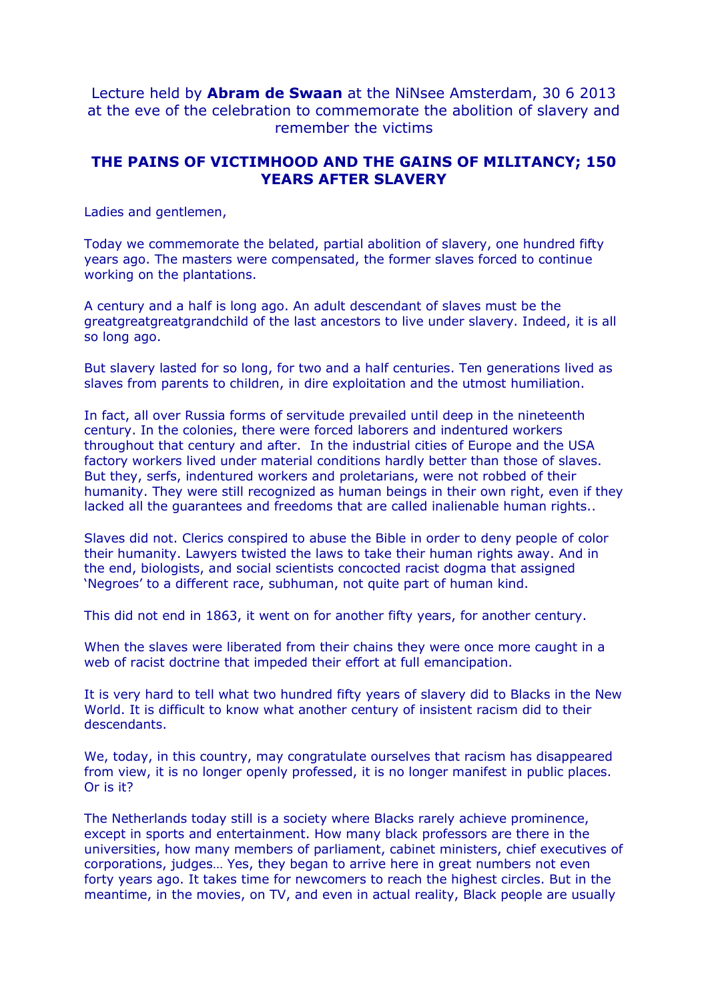Lecture held by **Abram de Swaan** at the NiNsee Amsterdam, 30 6 2013 at the eve of the celebration to commemorate the abolition of slavery and remember the victims

## **THE PAINS OF VICTIMHOOD AND THE GAINS OF MILITANCY; 150 YEARS AFTER SLAVERY**

Ladies and gentlemen,

Today we commemorate the belated, partial abolition of slavery, one hundred fifty years ago. The masters were compensated, the former slaves forced to continue working on the plantations.

A century and a half is long ago. An adult descendant of slaves must be the greatgreatgreatgrandchild of the last ancestors to live under slavery. Indeed, it is all so long ago.

But slavery lasted for so long, for two and a half centuries. Ten generations lived as slaves from parents to children, in dire exploitation and the utmost humiliation.

In fact, all over Russia forms of servitude prevailed until deep in the nineteenth century. In the colonies, there were forced laborers and indentured workers throughout that century and after. In the industrial cities of Europe and the USA factory workers lived under material conditions hardly better than those of slaves. But they, serfs, indentured workers and proletarians, were not robbed of their humanity. They were still recognized as human beings in their own right, even if they lacked all the guarantees and freedoms that are called inalienable human rights..

Slaves did not. Clerics conspired to abuse the Bible in order to deny people of color their humanity. Lawyers twisted the laws to take their human rights away. And in the end, biologists, and social scientists concocted racist dogma that assigned "Negroes" to a different race, subhuman, not quite part of human kind.

This did not end in 1863, it went on for another fifty years, for another century.

When the slaves were liberated from their chains they were once more caught in a web of racist doctrine that impeded their effort at full emancipation.

It is very hard to tell what two hundred fifty years of slavery did to Blacks in the New World. It is difficult to know what another century of insistent racism did to their descendants.

We, today, in this country, may congratulate ourselves that racism has disappeared from view, it is no longer openly professed, it is no longer manifest in public places. Or is it?

The Netherlands today still is a society where Blacks rarely achieve prominence, except in sports and entertainment. How many black professors are there in the universities, how many members of parliament, cabinet ministers, chief executives of corporations, judges… Yes, they began to arrive here in great numbers not even forty years ago. It takes time for newcomers to reach the highest circles. But in the meantime, in the movies, on TV, and even in actual reality, Black people are usually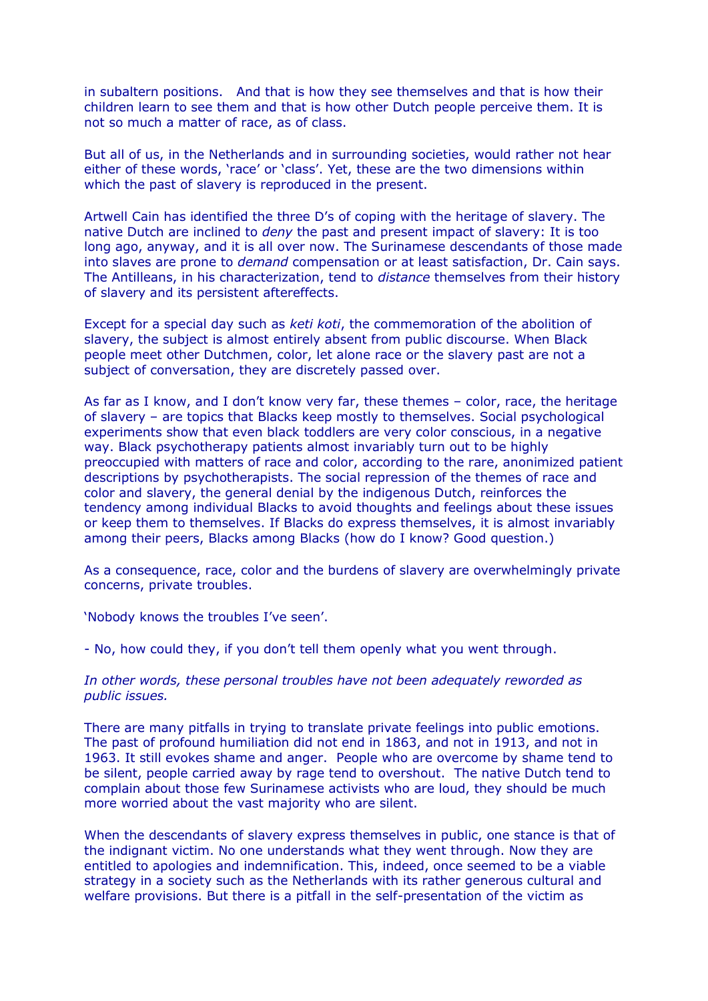in subaltern positions. And that is how they see themselves and that is how their children learn to see them and that is how other Dutch people perceive them. It is not so much a matter of race, as of class.

But all of us, in the Netherlands and in surrounding societies, would rather not hear either of these words, 'race' or 'class'. Yet, these are the two dimensions within which the past of slavery is reproduced in the present.

Artwell Cain has identified the three D"s of coping with the heritage of slavery. The native Dutch are inclined to *deny* the past and present impact of slavery: It is too long ago, anyway, and it is all over now. The Surinamese descendants of those made into slaves are prone to *demand* compensation or at least satisfaction, Dr. Cain says. The Antilleans, in his characterization, tend to *distance* themselves from their history of slavery and its persistent aftereffects.

Except for a special day such as *keti koti*, the commemoration of the abolition of slavery, the subject is almost entirely absent from public discourse. When Black people meet other Dutchmen, color, let alone race or the slavery past are not a subject of conversation, they are discretely passed over.

As far as I know, and I don"t know very far, these themes – color, race, the heritage of slavery – are topics that Blacks keep mostly to themselves. Social psychological experiments show that even black toddlers are very color conscious, in a negative way. Black psychotherapy patients almost invariably turn out to be highly preoccupied with matters of race and color, according to the rare, anonimized patient descriptions by psychotherapists. The social repression of the themes of race and color and slavery, the general denial by the indigenous Dutch, reinforces the tendency among individual Blacks to avoid thoughts and feelings about these issues or keep them to themselves. If Blacks do express themselves, it is almost invariably among their peers, Blacks among Blacks (how do I know? Good question.)

As a consequence, race, color and the burdens of slavery are overwhelmingly private concerns, private troubles.

'Nobody knows the troubles I've seen'.

- No, how could they, if you don"t tell them openly what you went through.

## *In other words, these personal troubles have not been adequately reworded as public issues.*

There are many pitfalls in trying to translate private feelings into public emotions. The past of profound humiliation did not end in 1863, and not in 1913, and not in 1963. It still evokes shame and anger. People who are overcome by shame tend to be silent, people carried away by rage tend to overshout. The native Dutch tend to complain about those few Surinamese activists who are loud, they should be much more worried about the vast majority who are silent.

When the descendants of slavery express themselves in public, one stance is that of the indignant victim. No one understands what they went through. Now they are entitled to apologies and indemnification. This, indeed, once seemed to be a viable strategy in a society such as the Netherlands with its rather generous cultural and welfare provisions. But there is a pitfall in the self-presentation of the victim as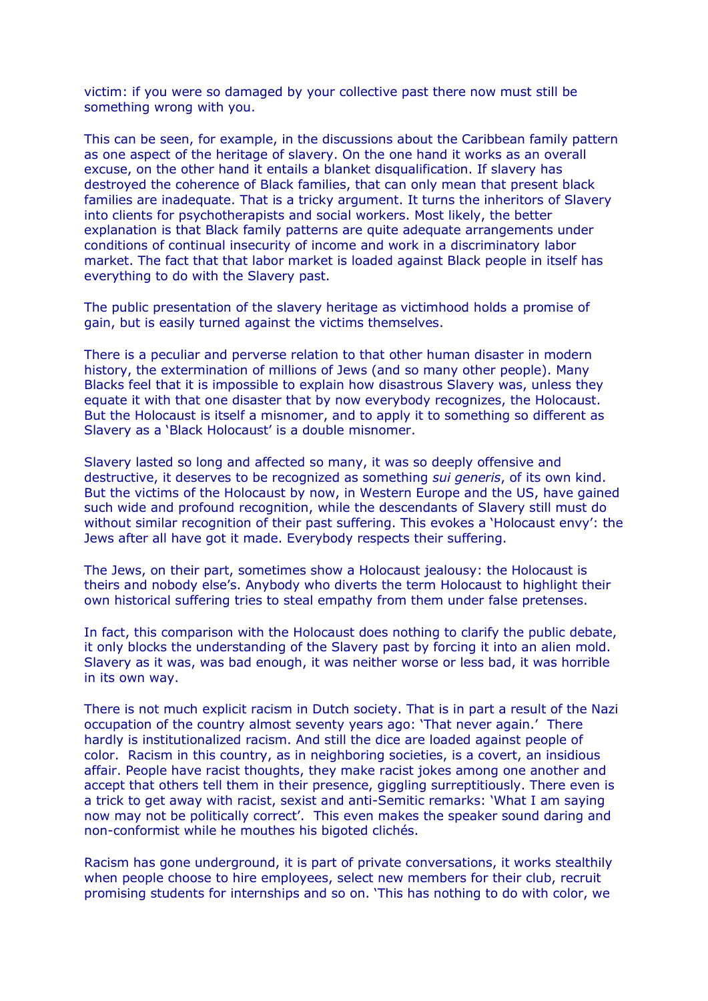victim: if you were so damaged by your collective past there now must still be something wrong with you.

This can be seen, for example, in the discussions about the Caribbean family pattern as one aspect of the heritage of slavery. On the one hand it works as an overall excuse, on the other hand it entails a blanket disqualification. If slavery has destroyed the coherence of Black families, that can only mean that present black families are inadequate. That is a tricky argument. It turns the inheritors of Slavery into clients for psychotherapists and social workers. Most likely, the better explanation is that Black family patterns are quite adequate arrangements under conditions of continual insecurity of income and work in a discriminatory labor market. The fact that that labor market is loaded against Black people in itself has everything to do with the Slavery past.

The public presentation of the slavery heritage as victimhood holds a promise of gain, but is easily turned against the victims themselves.

There is a peculiar and perverse relation to that other human disaster in modern history, the extermination of millions of Jews (and so many other people). Many Blacks feel that it is impossible to explain how disastrous Slavery was, unless they equate it with that one disaster that by now everybody recognizes, the Holocaust. But the Holocaust is itself a misnomer, and to apply it to something so different as Slavery as a 'Black Holocaust' is a double misnomer.

Slavery lasted so long and affected so many, it was so deeply offensive and destructive, it deserves to be recognized as something *sui generis*, of its own kind. But the victims of the Holocaust by now, in Western Europe and the US, have gained such wide and profound recognition, while the descendants of Slavery still must do without similar recognition of their past suffering. This evokes a "Holocaust envy": the Jews after all have got it made. Everybody respects their suffering.

The Jews, on their part, sometimes show a Holocaust jealousy: the Holocaust is theirs and nobody else"s. Anybody who diverts the term Holocaust to highlight their own historical suffering tries to steal empathy from them under false pretenses.

In fact, this comparison with the Holocaust does nothing to clarify the public debate, it only blocks the understanding of the Slavery past by forcing it into an alien mold. Slavery as it was, was bad enough, it was neither worse or less bad, it was horrible in its own way.

There is not much explicit racism in Dutch society. That is in part a result of the Nazi occupation of the country almost seventy years ago: "That never again." There hardly is institutionalized racism. And still the dice are loaded against people of color. Racism in this country, as in neighboring societies, is a covert, an insidious affair. People have racist thoughts, they make racist jokes among one another and accept that others tell them in their presence, giggling surreptitiously. There even is a trick to get away with racist, sexist and anti-Semitic remarks: "What I am saying now may not be politically correct'. This even makes the speaker sound daring and non-conformist while he mouthes his bigoted clichés.

Racism has gone underground, it is part of private conversations, it works stealthily when people choose to hire employees, select new members for their club, recruit promising students for internships and so on. "This has nothing to do with color, we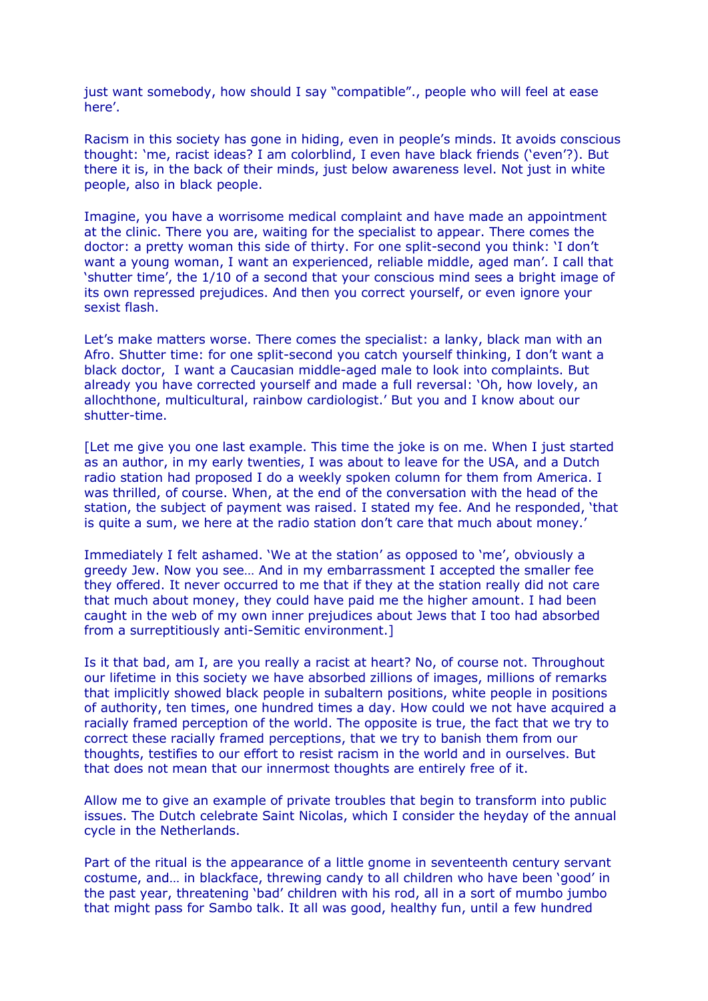just want somebody, how should I say "compatible"., people who will feel at ease here'.

Racism in this society has gone in hiding, even in people"s minds. It avoids conscious thought: "me, racist ideas? I am colorblind, I even have black friends ("even"?). But there it is, in the back of their minds, just below awareness level. Not just in white people, also in black people.

Imagine, you have a worrisome medical complaint and have made an appointment at the clinic. There you are, waiting for the specialist to appear. There comes the doctor: a pretty woman this side of thirty. For one split-second you think: "I don"t want a young woman, I want an experienced, reliable middle, aged man'. I call that "shutter time", the 1/10 of a second that your conscious mind sees a bright image of its own repressed prejudices. And then you correct yourself, or even ignore your sexist flash.

Let's make matters worse. There comes the specialist: a lanky, black man with an Afro. Shutter time: for one split-second you catch yourself thinking, I don't want a black doctor, I want a Caucasian middle-aged male to look into complaints. But already you have corrected yourself and made a full reversal: "Oh, how lovely, an allochthone, multicultural, rainbow cardiologist." But you and I know about our shutter-time.

[Let me give you one last example. This time the joke is on me. When I just started as an author, in my early twenties, I was about to leave for the USA, and a Dutch radio station had proposed I do a weekly spoken column for them from America. I was thrilled, of course. When, at the end of the conversation with the head of the station, the subject of payment was raised. I stated my fee. And he responded, "that is quite a sum, we here at the radio station don't care that much about money.'

Immediately I felt ashamed. 'We at the station' as opposed to 'me', obviously a greedy Jew. Now you see… And in my embarrassment I accepted the smaller fee they offered. It never occurred to me that if they at the station really did not care that much about money, they could have paid me the higher amount. I had been caught in the web of my own inner prejudices about Jews that I too had absorbed from a surreptitiously anti-Semitic environment.]

Is it that bad, am I, are you really a racist at heart? No, of course not. Throughout our lifetime in this society we have absorbed zillions of images, millions of remarks that implicitly showed black people in subaltern positions, white people in positions of authority, ten times, one hundred times a day. How could we not have acquired a racially framed perception of the world. The opposite is true, the fact that we try to correct these racially framed perceptions, that we try to banish them from our thoughts, testifies to our effort to resist racism in the world and in ourselves. But that does not mean that our innermost thoughts are entirely free of it.

Allow me to give an example of private troubles that begin to transform into public issues. The Dutch celebrate Saint Nicolas, which I consider the heyday of the annual cycle in the Netherlands.

Part of the ritual is the appearance of a little gnome in seventeenth century servant costume, and… in blackface, threwing candy to all children who have been "good" in the past year, threatening "bad" children with his rod, all in a sort of mumbo jumbo that might pass for Sambo talk. It all was good, healthy fun, until a few hundred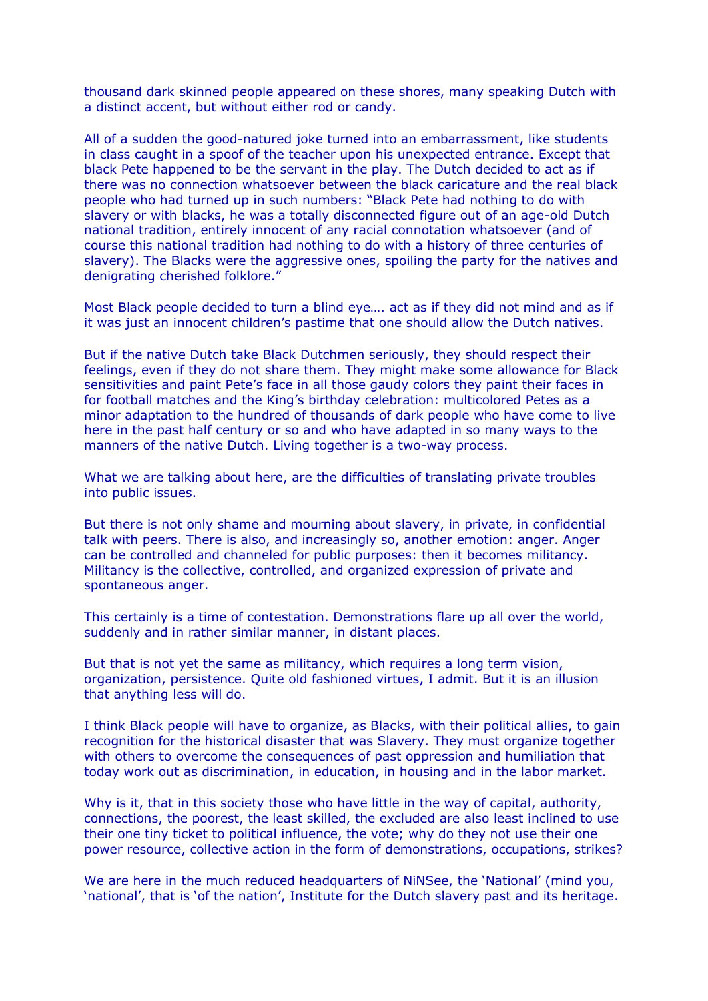thousand dark skinned people appeared on these shores, many speaking Dutch with a distinct accent, but without either rod or candy.

All of a sudden the good-natured joke turned into an embarrassment, like students in class caught in a spoof of the teacher upon his unexpected entrance. Except that black Pete happened to be the servant in the play. The Dutch decided to act as if there was no connection whatsoever between the black caricature and the real black people who had turned up in such numbers: "Black Pete had nothing to do with slavery or with blacks, he was a totally disconnected figure out of an age-old Dutch national tradition, entirely innocent of any racial connotation whatsoever (and of course this national tradition had nothing to do with a history of three centuries of slavery). The Blacks were the aggressive ones, spoiling the party for the natives and denigrating cherished folklore."

Most Black people decided to turn a blind eye…. act as if they did not mind and as if it was just an innocent children"s pastime that one should allow the Dutch natives.

But if the native Dutch take Black Dutchmen seriously, they should respect their feelings, even if they do not share them. They might make some allowance for Black sensitivities and paint Pete's face in all those gaudy colors they paint their faces in for football matches and the King"s birthday celebration: multicolored Petes as a minor adaptation to the hundred of thousands of dark people who have come to live here in the past half century or so and who have adapted in so many ways to the manners of the native Dutch. Living together is a two-way process.

What we are talking about here, are the difficulties of translating private troubles into public issues.

But there is not only shame and mourning about slavery, in private, in confidential talk with peers. There is also, and increasingly so, another emotion: anger. Anger can be controlled and channeled for public purposes: then it becomes militancy. Militancy is the collective, controlled, and organized expression of private and spontaneous anger.

This certainly is a time of contestation. Demonstrations flare up all over the world, suddenly and in rather similar manner, in distant places.

But that is not yet the same as militancy, which requires a long term vision, organization, persistence. Quite old fashioned virtues, I admit. But it is an illusion that anything less will do.

I think Black people will have to organize, as Blacks, with their political allies, to gain recognition for the historical disaster that was Slavery. They must organize together with others to overcome the consequences of past oppression and humiliation that today work out as discrimination, in education, in housing and in the labor market.

Why is it, that in this society those who have little in the way of capital, authority, connections, the poorest, the least skilled, the excluded are also least inclined to use their one tiny ticket to political influence, the vote; why do they not use their one power resource, collective action in the form of demonstrations, occupations, strikes?

We are here in the much reduced headquarters of NiNSee, the 'National' (mind you, 'national', that is 'of the nation', Institute for the Dutch slavery past and its heritage.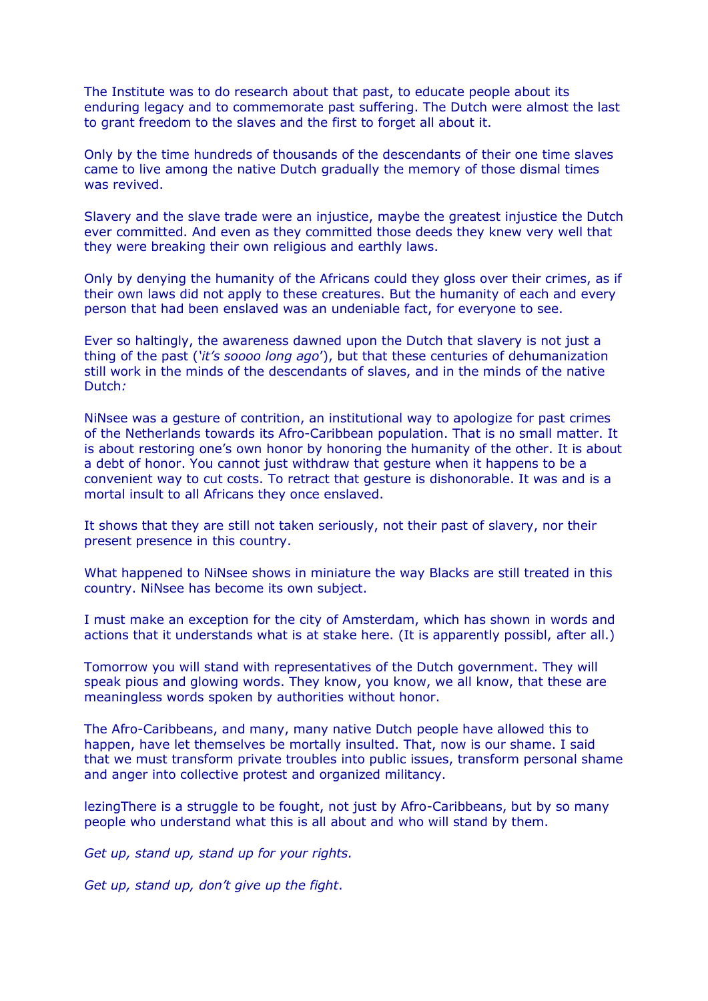The Institute was to do research about that past, to educate people about its enduring legacy and to commemorate past suffering. The Dutch were almost the last to grant freedom to the slaves and the first to forget all about it.

Only by the time hundreds of thousands of the descendants of their one time slaves came to live among the native Dutch gradually the memory of those dismal times was revived.

Slavery and the slave trade were an injustice, maybe the greatest injustice the Dutch ever committed. And even as they committed those deeds they knew very well that they were breaking their own religious and earthly laws.

Only by denying the humanity of the Africans could they gloss over their crimes, as if their own laws did not apply to these creatures. But the humanity of each and every person that had been enslaved was an undeniable fact, for everyone to see.

Ever so haltingly, the awareness dawned upon the Dutch that slavery is not just a thing of the past (*'it's soooo long ago*"), but that these centuries of dehumanization still work in the minds of the descendants of slaves, and in the minds of the native Dutch*:* 

NiNsee was a gesture of contrition, an institutional way to apologize for past crimes of the Netherlands towards its Afro-Caribbean population. That is no small matter. It is about restoring one's own honor by honoring the humanity of the other. It is about a debt of honor. You cannot just withdraw that gesture when it happens to be a convenient way to cut costs. To retract that gesture is dishonorable. It was and is a mortal insult to all Africans they once enslaved.

It shows that they are still not taken seriously, not their past of slavery, nor their present presence in this country.

What happened to NiNsee shows in miniature the way Blacks are still treated in this country. NiNsee has become its own subject.

I must make an exception for the city of Amsterdam, which has shown in words and actions that it understands what is at stake here. (It is apparently possibl, after all.)

Tomorrow you will stand with representatives of the Dutch government. They will speak pious and glowing words. They know, you know, we all know, that these are meaningless words spoken by authorities without honor.

The Afro-Caribbeans, and many, many native Dutch people have allowed this to happen, have let themselves be mortally insulted. That, now is our shame. I said that we must transform private troubles into public issues, transform personal shame and anger into collective protest and organized militancy.

lezingThere is a struggle to be fought, not just by Afro-Caribbeans, but by so many people who understand what this is all about and who will stand by them.

*Get up, stand up, stand up for your rights.*

*Get up, stand up, don't give up the fight*.